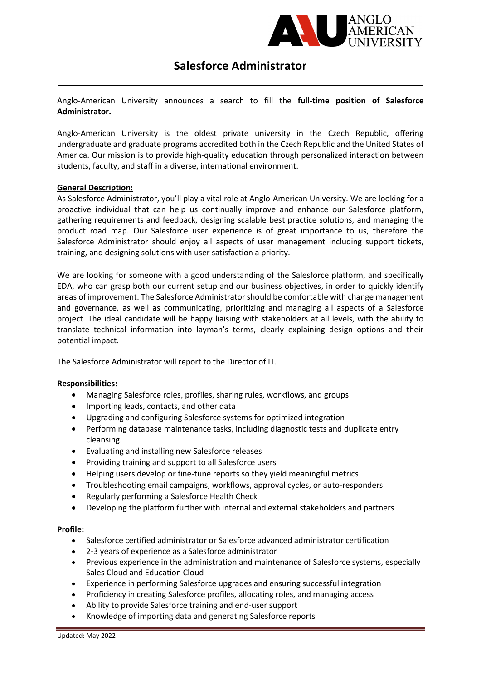

# Salesforce Administrator

Anglo-American University announces a search to fill the full-time position of Salesforce Administrator.

Anglo-American University is the oldest private university in the Czech Republic, offering undergraduate and graduate programs accredited both in the Czech Republic and the United States of America. Our mission is to provide high-quality education through personalized interaction between students, faculty, and staff in a diverse, international environment.

### General Description:

As Salesforce Administrator, you'll play a vital role at Anglo-American University. We are looking for a proactive individual that can help us continually improve and enhance our Salesforce platform, gathering requirements and feedback, designing scalable best practice solutions, and managing the product road map. Our Salesforce user experience is of great importance to us, therefore the Salesforce Administrator should enjoy all aspects of user management including support tickets, training, and designing solutions with user satisfaction a priority.

We are looking for someone with a good understanding of the Salesforce platform, and specifically EDA, who can grasp both our current setup and our business objectives, in order to quickly identify areas of improvement. The Salesforce Administrator should be comfortable with change management and governance, as well as communicating, prioritizing and managing all aspects of a Salesforce project. The ideal candidate will be happy liaising with stakeholders at all levels, with the ability to translate technical information into layman's terms, clearly explaining design options and their potential impact.

The Salesforce Administrator will report to the Director of IT.

# Responsibilities:

- Managing Salesforce roles, profiles, sharing rules, workflows, and groups
- Importing leads, contacts, and other data
- Upgrading and configuring Salesforce systems for optimized integration
- Performing database maintenance tasks, including diagnostic tests and duplicate entry cleansing.
- Evaluating and installing new Salesforce releases
- Providing training and support to all Salesforce users
- Helping users develop or fine-tune reports so they yield meaningful metrics
- Troubleshooting email campaigns, workflows, approval cycles, or auto-responders
- Regularly performing a Salesforce Health Check
- Developing the platform further with internal and external stakeholders and partners

# Profile:

- Salesforce certified administrator or Salesforce advanced administrator certification
- 2-3 years of experience as a Salesforce administrator
- Previous experience in the administration and maintenance of Salesforce systems, especially Sales Cloud and Education Cloud
- Experience in performing Salesforce upgrades and ensuring successful integration
- Proficiency in creating Salesforce profiles, allocating roles, and managing access
- Ability to provide Salesforce training and end-user support
- Knowledge of importing data and generating Salesforce reports